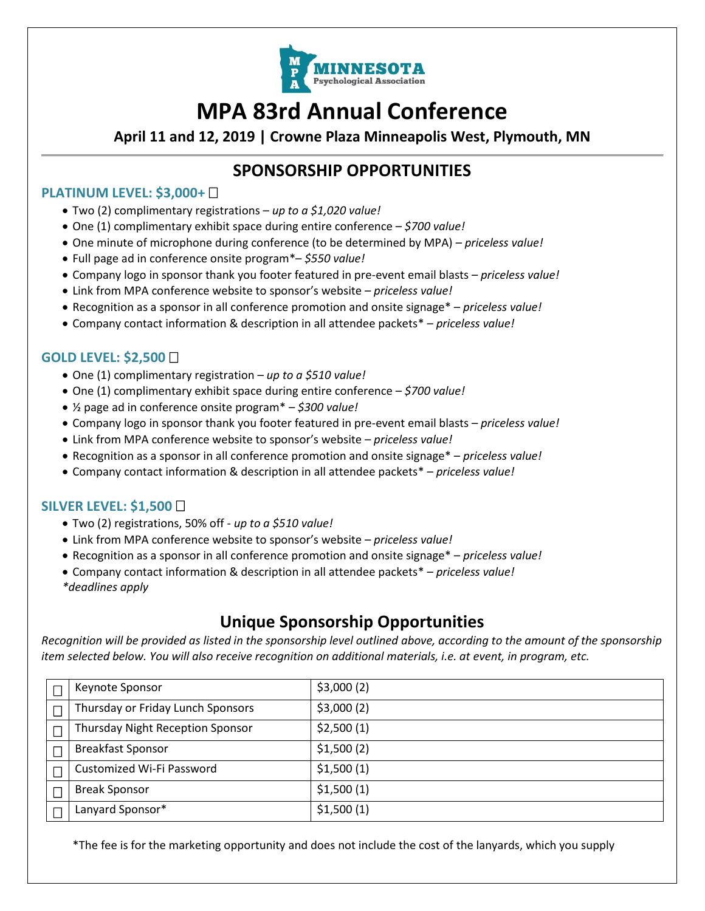

# **MPA 83rd Annual Conference**

**April 11 and 12, 2019 | Crowne Plaza Minneapolis West, Plymouth, MN**

### **SPONSORSHIP OPPORTUNITIES**

#### **PLATINUM LEVEL: \$3,000+**

- Two (2) complimentary registrations *up to a \$1,020 value!*
- One (1) complimentary exhibit space during entire conference *\$700 value!*
- One minute of microphone during conference (to be determined by MPA) *– priceless value!*
- Full page ad in conference onsite program\*– *\$550 value!*
- Company logo in sponsor thank you footer featured in pre-event email blasts *priceless value!*
- Link from MPA conference website to sponsor's website *priceless value!*
- Recognition as a sponsor in all conference promotion and onsite signage\* *priceless value!*
- Company contact information & description in all attendee packets\* *priceless value!*

#### **GOLD LEVEL: \$2,500**

- One (1) complimentary registration *up to a \$510 value!*
- One (1) complimentary exhibit space during entire conference *\$700 value!*
- ½ page ad in conference onsite program\* *\$300 value!*
- Company logo in sponsor thank you footer featured in pre-event email blasts *priceless value!*
- Link from MPA conference website to sponsor's website *priceless value!*
- Recognition as a sponsor in all conference promotion and onsite signage\* *priceless value!*
- Company contact information & description in all attendee packets\* *priceless value!*

#### **SILVER LEVEL: \$1,500**

- Two (2) registrations, 50% off *up to a \$510 value!*
- Link from MPA conference website to sponsor's website *priceless value!*
- Recognition as a sponsor in all conference promotion and onsite signage\* *priceless value!*
- Company contact information & description in all attendee packets\* *priceless value! \*deadlines apply*

### **Unique Sponsorship Opportunities**

*Recognition will be provided as listed in the sponsorship level outlined above, according to the amount of the sponsorship item selected below. You will also receive recognition on additional materials, i.e. at event, in program, etc.*

| Keynote Sponsor                         | \$3,000(2) |
|-----------------------------------------|------------|
| Thursday or Friday Lunch Sponsors       | \$3,000(2) |
| <b>Thursday Night Reception Sponsor</b> | \$2,500(1) |
| <b>Breakfast Sponsor</b>                | \$1,500(2) |
| Customized Wi-Fi Password               | \$1,500(1) |
| <b>Break Sponsor</b>                    | \$1,500(1) |
| Lanyard Sponsor*                        | \$1,500(1) |

\*The fee is for the marketing opportunity and does not include the cost of the lanyards, which you supply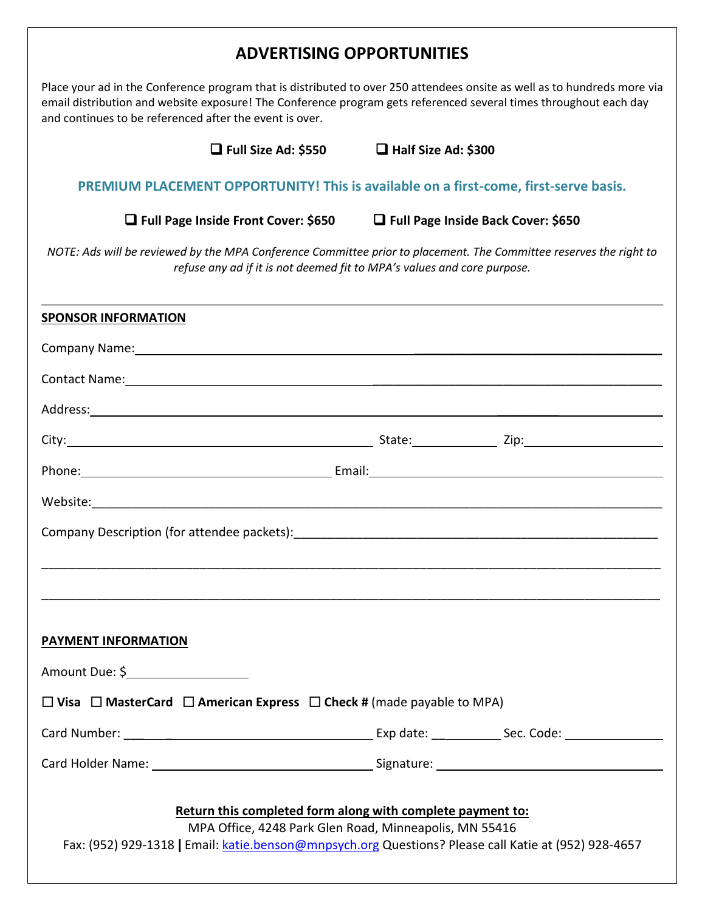| <b>ADVERTISING OPPORTUNITIES</b>                                                                                                                                                                                                                                                                         |                                      |  |  |  |  |
|----------------------------------------------------------------------------------------------------------------------------------------------------------------------------------------------------------------------------------------------------------------------------------------------------------|--------------------------------------|--|--|--|--|
| Place your ad in the Conference program that is distributed to over 250 attendees onsite as well as to hundreds more via<br>email distribution and website exposure! The Conference program gets referenced several times throughout each day<br>and continues to be referenced after the event is over. |                                      |  |  |  |  |
| $\Box$ Full Size Ad: \$550                                                                                                                                                                                                                                                                               | $\Box$ Half Size Ad: \$300           |  |  |  |  |
| PREMIUM PLACEMENT OPPORTUNITY! This is available on a first-come, first-serve basis.                                                                                                                                                                                                                     |                                      |  |  |  |  |
| $\Box$ Full Page Inside Front Cover: \$650                                                                                                                                                                                                                                                               | □ Full Page Inside Back Cover: \$650 |  |  |  |  |
| NOTE: Ads will be reviewed by the MPA Conference Committee prior to placement. The Committee reserves the right to<br>refuse any ad if it is not deemed fit to MPA's values and core purpose.                                                                                                            |                                      |  |  |  |  |
| <b>SPONSOR INFORMATION</b>                                                                                                                                                                                                                                                                               |                                      |  |  |  |  |
| Company Name: 1988 Company Name: 1988 Company Name: 1988 Company Name: 1988 Company Name: 1988 Company Name: 1988 Company Name: 1988 Company Name: 1988 Company Name: 1988 Company October 2008 Company October 2008 Company O                                                                           |                                      |  |  |  |  |
|                                                                                                                                                                                                                                                                                                          |                                      |  |  |  |  |
|                                                                                                                                                                                                                                                                                                          |                                      |  |  |  |  |
|                                                                                                                                                                                                                                                                                                          |                                      |  |  |  |  |
|                                                                                                                                                                                                                                                                                                          |                                      |  |  |  |  |
|                                                                                                                                                                                                                                                                                                          |                                      |  |  |  |  |
| Company Description (for attendee packets): National Assembly of the company of the company of the company of                                                                                                                                                                                            |                                      |  |  |  |  |
|                                                                                                                                                                                                                                                                                                          |                                      |  |  |  |  |
|                                                                                                                                                                                                                                                                                                          |                                      |  |  |  |  |
|                                                                                                                                                                                                                                                                                                          |                                      |  |  |  |  |
| <b>PAYMENT INFORMATION</b>                                                                                                                                                                                                                                                                               |                                      |  |  |  |  |
| Amount Due: \$                                                                                                                                                                                                                                                                                           |                                      |  |  |  |  |
| □ Visa □ MasterCard □ American Express □ Check # (made payable to MPA)                                                                                                                                                                                                                                   |                                      |  |  |  |  |
|                                                                                                                                                                                                                                                                                                          |                                      |  |  |  |  |
|                                                                                                                                                                                                                                                                                                          |                                      |  |  |  |  |
| Return this completed form along with complete payment to:<br>MPA Office, 4248 Park Glen Road, Minneapolis, MN 55416<br>Fax: (952) 929-1318   Email: katie.benson@mnpsych.org Questions? Please call Katie at (952) 928-4657                                                                             |                                      |  |  |  |  |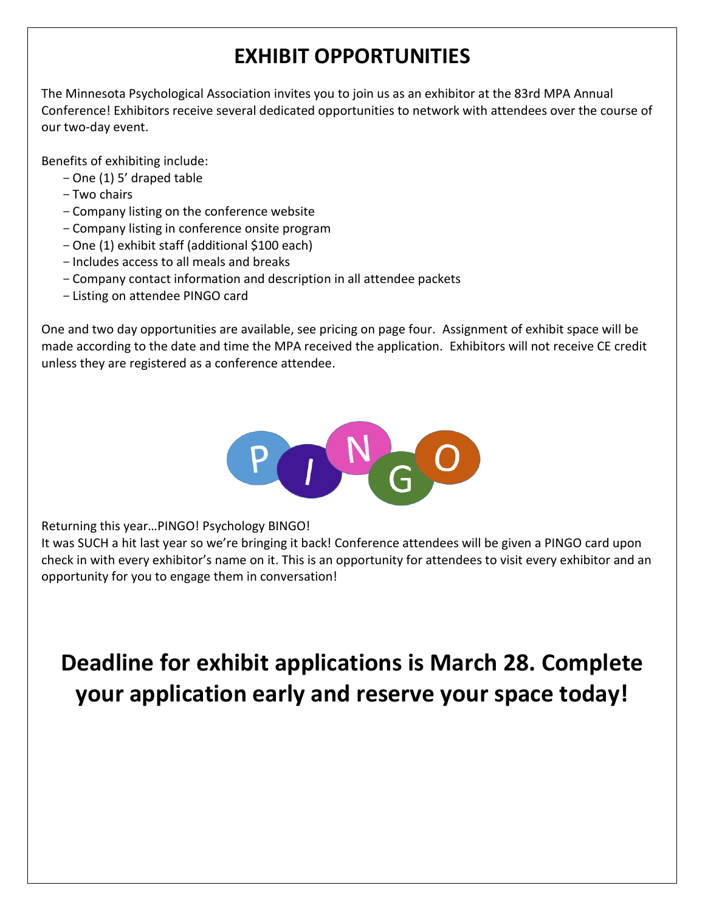## **EXHIBIT OPPORTUNITIES**

The Minnesota Psychological Association invites you to join us as an exhibitor at the 83rd MPA Annual Conference! Exhibitors receive several dedicated opportunities to network with attendees over the course of our two-day event.

Benefits of exhibiting include:

- -One (1) 5' draped table
- -Two chairs
- -Company listing on the conference website
- -Company listing in conference onsite program
- -One (1) exhibit staff (additional \$100 each)
- -Includes access to all meals and breaks
- -Company contact information and description in all attendee packets
- -Listing on attendee PINGO card

One and two day opportunities are available, see pricing on page four. Assignment of exhibit space will be made according to the date and time the MPA received the application. Exhibitors will not receive CE credit unless they are registered as a conference attendee.



Returning this year…PINGO! Psychology BINGO!

It was SUCH a hit last year so we're bringing it back! Conference attendees will be given a PINGO card upon check in with every exhibitor's name on it. This is an opportunity for attendees to visit every exhibitor and an opportunity for you to engage them in conversation!

**Deadline for exhibit applications is March 28. Complete your application early and reserve your space today!**